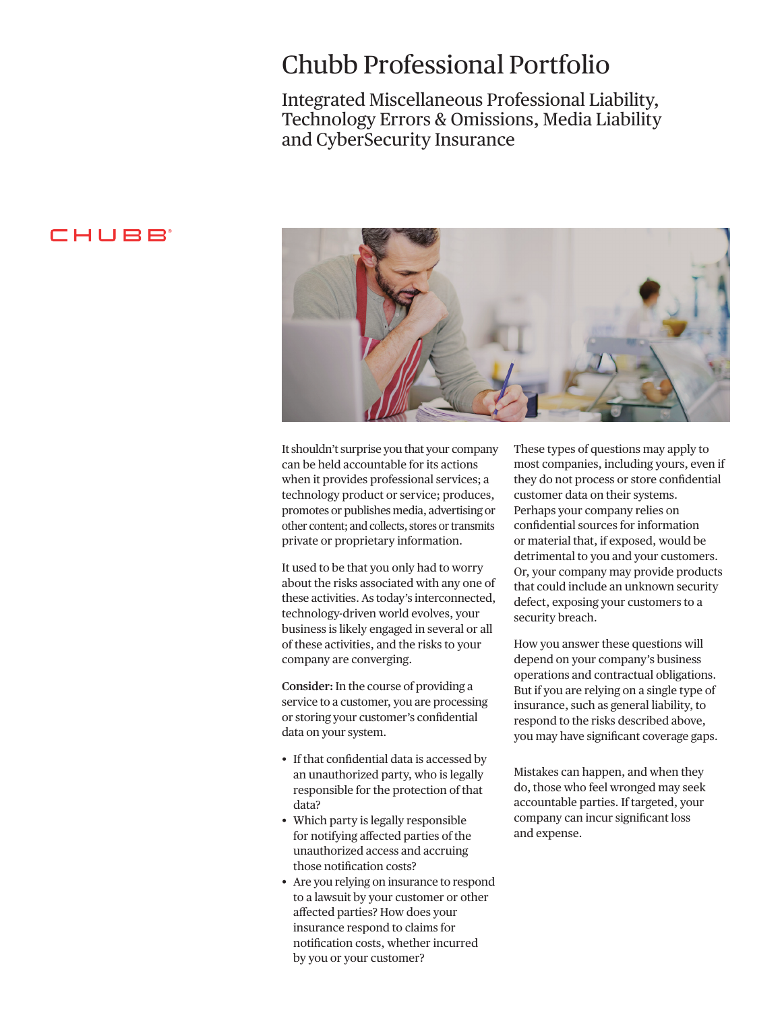## Chubb Professional Portfolio

Integrated Miscellaneous Professional Liability, Technology Errors & Omissions, Media Liability and CyberSecurity Insurance

### CHUBB



It shouldn't surprise you that your company can be held accountable for its actions when it provides professional services; a technology product or service; produces, promotes or publishes media, advertising or other content; and collects, stores or transmits private or proprietary information.

It used to be that you only had to worry about the risks associated with any one of these activities. As today's interconnected, technology-driven world evolves, your business is likely engaged in several or all of these activities, and the risks to your company are converging.

**Consider:** In the course of providing a service to a customer, you are processing or storing your customer's confdential data on your system.

- If that confidential data is accessed by an unauthorized party, who is legally responsible for the protection of that data?
- Which party is legally responsible for notifying afected parties of the unauthorized access and accruing those notifcation costs?
- Are you relying on insurance to respond to a lawsuit by your customer or other afected parties? How does your insurance respond to claims for notifcation costs, whether incurred by you or your customer?

These types of questions may apply to most companies, including yours, even if they do not process or store confdential customer data on their systems. Perhaps your company relies on confdential sources for information or material that, if exposed, would be detrimental to you and your customers. Or, your company may provide products that could include an unknown security defect, exposing your customers to a security breach.

How you answer these questions will depend on your company's business operations and contractual obligations. But if you are relying on a single type of insurance, such as general liability, to respond to the risks described above, you may have signifcant coverage gaps.

Mistakes can happen, and when they do, those who feel wronged may seek accountable parties. If targeted, your company can incur signifcant loss and expense.